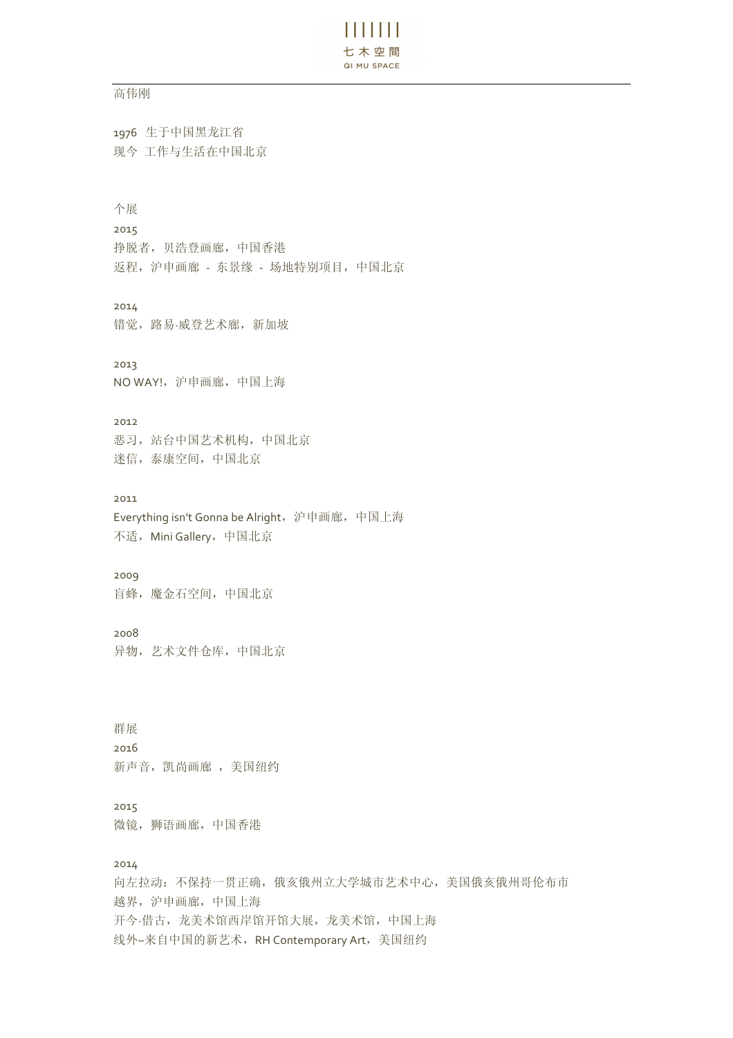# $\frac{1}{2}$   $\frac{1}{2}$   $\frac{1}{2}$   $\frac{1}{2}$   $\frac{1}{2}$   $\frac{1}{2}$ 七木空間 QI MU SPACE

### 高伟刚

1976 生于中国黑龙江省 现今 工作与生活在中国北京

## 个展

2015

挣脱者,贝浩登画廊,中国香港 返程,沪申画廊 - 东景缘 - 场地特别项目,中国北京

# 2014

错觉,路易·威登艺术廊,新加坡

# 2013

NO WAY!, 沪申画廊, 中国上海

#### 2012

恶习,站台中国艺术机构,中国北京 迷信,泰康空间,中国北京

### 2011

Everything isn't Gonna be Alright, 沪申画廊, 中国上海 不适, Mini Gallery, 中国北京

## 2009

盲蜂,魔金石空间,中国北京

#### 2008

异物,艺术文件仓库,中国北京

群展 2016 新声音, 凯尚画廊, 美国纽约

# 2015 微镜,狮语画廊,中国香港

### 2014

向左拉动:不保持一贯正确,俄亥俄州立大学城市艺术中心,美国俄亥俄州哥伦布市 越界,沪申画廊,中国上海 开今·借古,龙美术馆西岸馆开馆大展,龙美术馆,中国上海 线外–来自中国的新艺术,RH Contemporary Art, 美国纽约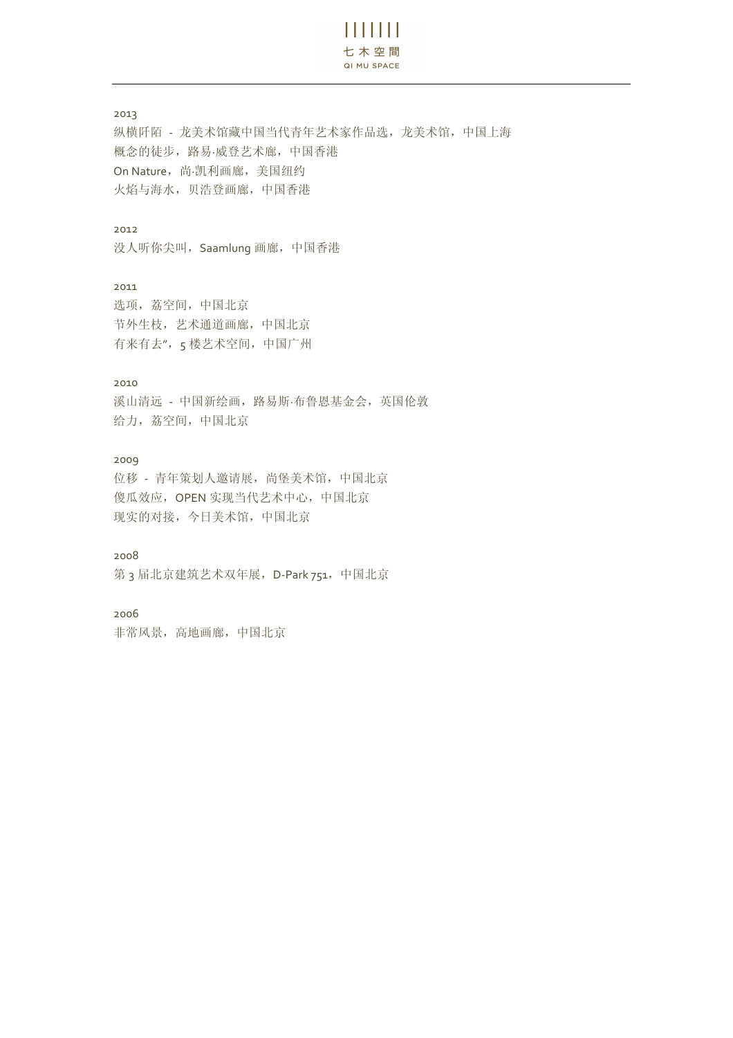$\mathbf{H}$   $\mathbf{H}$ 七木空間 QI MU SPACE

2013

纵横阡陌 - 龙美术馆藏中国当代青年艺术家作品选,龙美术馆,中国上海 概念的徒步,路易·威登艺术廊,中国香港 On Nature,尚·凯利画廊,美国纽约 火焰与海水,贝浩登画廊,中国香港

## 2012

没人听你尖叫, Saamlung 画廊, 中国香港

2011 选项,荔空间,中国北京 节外生枝,艺术通道画廊,中国北京 有来有去",5 楼艺术空间,中国广州

## 2010

溪山清远 - 中国新绘画, 路易斯·布鲁恩基金会, 英国伦敦 给力,荔空间,中国北京

### 2009

位移 - 青年策划人邀请展,尚堡美术馆,中国北京 傻瓜效应,OPEN 实现当代艺术中心,中国北京 现实的对接,今日美术馆,中国北京

2008

第 3 届北京建筑艺术双年展, D-Park 751, 中国北京

2006

非常风景,高地画廊,中国北京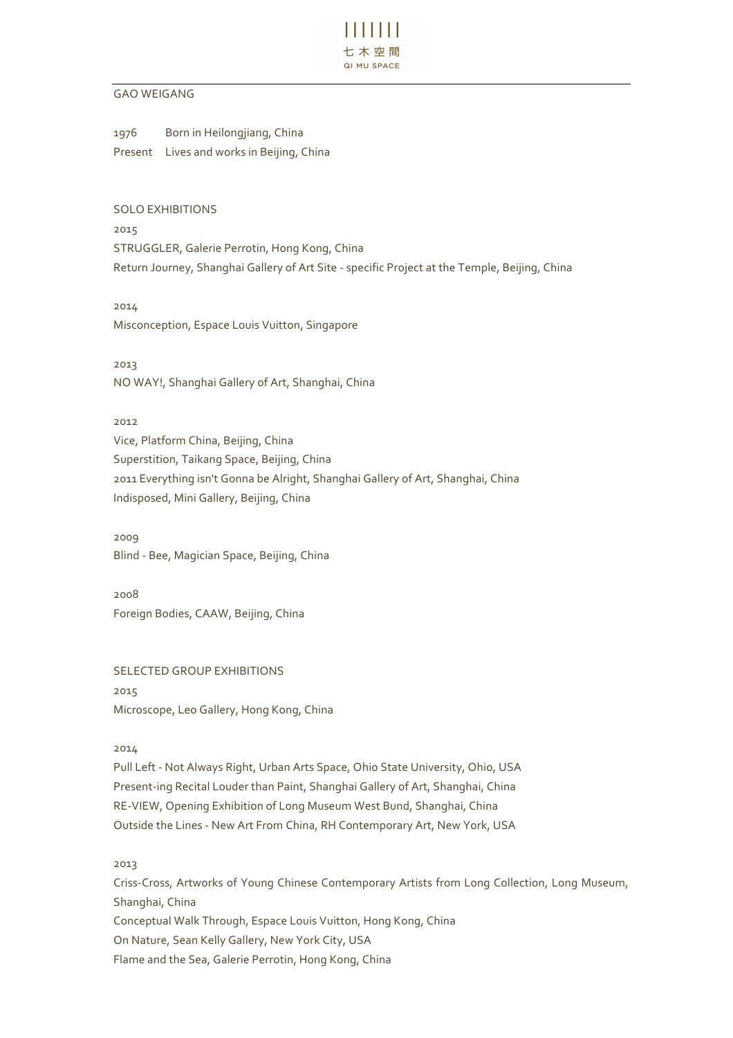

### GAO WEIGANG

1976 Born in Heilongjiang, China Present Lives and works in Beijing, China

SOLO EXHIBITIONS

2015 STRUGGLER, Galerie Perrotin, Hong Kong, China Return Journey, Shanghai Gallery of Art Site - specific Project at the Temple, Beijing, China

2014 Misconception, Espace Louis Vuitton, Singapore

2013 NO WAY!, Shanghai Gallery of Art, Shanghai, China

2012 Vice, Platform China, Beijing, China Superstition, Taikang Space, Beijing, China 2011 Everything isn't Gonna be Alright, Shanghai Gallery of Art, Shanghai, China Indisposed, Mini Gallery, Beijing, China

2009 Blind - Bee, Magician Space, Beijing, China

2008 Foreign Bodies, CAAW, Beijing, China

SELECTED GROUP EXHIBITIONS 2015 Microscope, Leo Gallery, Hong Kong, China

2014

Pull Left - Not Always Right, Urban Arts Space, Ohio State University, Ohio, USA Present-ing Recital Louder than Paint, Shanghai Gallery of Art, Shanghai, China RE-VIEW, Opening Exhibition of Long Museum West Bund, Shanghai, China Outside the Lines - New Art From China, RH Contemporary Art, New York, USA

2013

Criss-Cross, Artworks of Young Chinese Contemporary Artists from Long Collection, Long Museum, Shanghai, China Conceptual Walk Through, Espace Louis Vuitton, Hong Kong, China On Nature, Sean Kelly Gallery, New York City, USA Flame and the Sea, Galerie Perrotin, Hong Kong, China